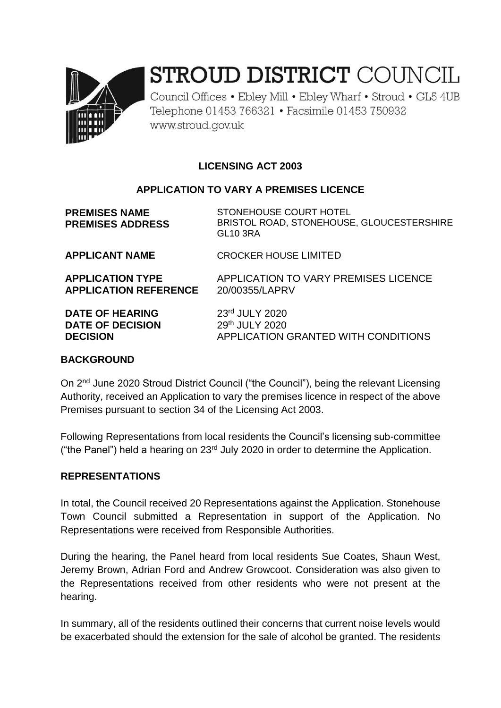

# STROUD DISTRICT COUNCIL

Council Offices • Ebley Mill • Ebley Wharf • Stroud • GL5 4UB Telephone 01453 766321 • Facsimile 01453 750932 www.stroud.gov.uk

## **LICENSING ACT 2003**

#### **APPLICATION TO VARY A PREMISES LICENCE**

**PREMISES NAME PREMISES ADDRESS**

STONEHOUSE COURT HOTEL BRISTOL ROAD, STONEHOUSE, GLOUCESTERSHIRE GL10 3RA

**APPLICANT NAME** CROCKER HOUSE LIMITED

**APPLICATION TYPE** APPLICATION TO VARY PREMISES LICENCE **APPLICATION REFERENCE** 20/00355/LAPRV

**DATE OF HEARING** 23<sup>rd</sup> JULY 2020 **DATE OF DECISION** 29<sup>th</sup> JULY 2020

**DECISION** APPLICATION GRANTED WITH CONDITIONS

#### **BACKGROUND**

On 2<sup>nd</sup> June 2020 Stroud District Council ("the Council"), being the relevant Licensing Authority, received an Application to vary the premises licence in respect of the above Premises pursuant to section 34 of the Licensing Act 2003.

Following Representations from local residents the Council's licensing sub-committee ("the Panel") held a hearing on  $23<sup>rd</sup>$  July 2020 in order to determine the Application.

#### **REPRESENTATIONS**

In total, the Council received 20 Representations against the Application. Stonehouse Town Council submitted a Representation in support of the Application. No Representations were received from Responsible Authorities.

During the hearing, the Panel heard from local residents Sue Coates, Shaun West, Jeremy Brown, Adrian Ford and Andrew Growcoot. Consideration was also given to the Representations received from other residents who were not present at the hearing.

In summary, all of the residents outlined their concerns that current noise levels would be exacerbated should the extension for the sale of alcohol be granted. The residents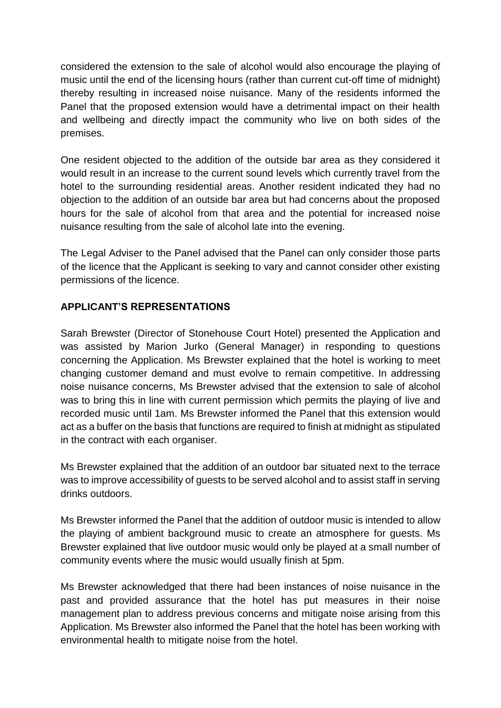considered the extension to the sale of alcohol would also encourage the playing of music until the end of the licensing hours (rather than current cut-off time of midnight) thereby resulting in increased noise nuisance. Many of the residents informed the Panel that the proposed extension would have a detrimental impact on their health and wellbeing and directly impact the community who live on both sides of the premises.

One resident objected to the addition of the outside bar area as they considered it would result in an increase to the current sound levels which currently travel from the hotel to the surrounding residential areas. Another resident indicated they had no objection to the addition of an outside bar area but had concerns about the proposed hours for the sale of alcohol from that area and the potential for increased noise nuisance resulting from the sale of alcohol late into the evening.

The Legal Adviser to the Panel advised that the Panel can only consider those parts of the licence that the Applicant is seeking to vary and cannot consider other existing permissions of the licence.

## **APPLICANT'S REPRESENTATIONS**

Sarah Brewster (Director of Stonehouse Court Hotel) presented the Application and was assisted by Marion Jurko (General Manager) in responding to questions concerning the Application. Ms Brewster explained that the hotel is working to meet changing customer demand and must evolve to remain competitive. In addressing noise nuisance concerns, Ms Brewster advised that the extension to sale of alcohol was to bring this in line with current permission which permits the playing of live and recorded music until 1am. Ms Brewster informed the Panel that this extension would act as a buffer on the basis that functions are required to finish at midnight as stipulated in the contract with each organiser.

Ms Brewster explained that the addition of an outdoor bar situated next to the terrace was to improve accessibility of guests to be served alcohol and to assist staff in serving drinks outdoors.

Ms Brewster informed the Panel that the addition of outdoor music is intended to allow the playing of ambient background music to create an atmosphere for guests. Ms Brewster explained that live outdoor music would only be played at a small number of community events where the music would usually finish at 5pm.

Ms Brewster acknowledged that there had been instances of noise nuisance in the past and provided assurance that the hotel has put measures in their noise management plan to address previous concerns and mitigate noise arising from this Application. Ms Brewster also informed the Panel that the hotel has been working with environmental health to mitigate noise from the hotel.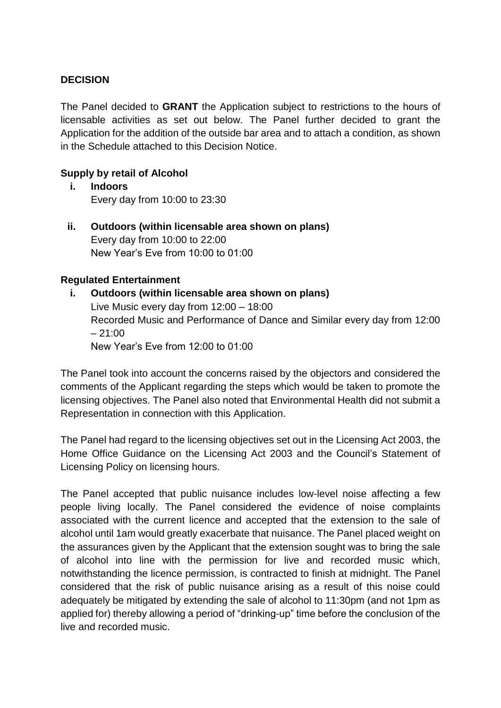### **DECISION**

The Panel decided to **GRANT** the Application subject to restrictions to the hours of licensable activities as set out below. The Panel further decided to grant the Application for the addition of the outside bar area and to attach a condition, as shown in the Schedule attached to this Decision Notice.

### **Supply by retail of Alcohol**

- **i. Indoors** Every day from 10:00 to 23:30
- **ii. Outdoors (within licensable area shown on plans)**  Every day from 10:00 to 22:00 New Year's Eve from 10:00 to 01:00

#### **Regulated Entertainment**

**i. Outdoors (within licensable area shown on plans)** Live Music every day from 12:00 – 18:00 Recorded Music and Performance of Dance and Similar every day from 12:00  $-21:00$ New Year's Eve from 12:00 to 01:00

The Panel took into account the concerns raised by the objectors and considered the comments of the Applicant regarding the steps which would be taken to promote the licensing objectives. The Panel also noted that Environmental Health did not submit a Representation in connection with this Application.

The Panel had regard to the licensing objectives set out in the Licensing Act 2003, the Home Office Guidance on the Licensing Act 2003 and the Council's Statement of Licensing Policy on licensing hours.

The Panel accepted that public nuisance includes low-level noise affecting a few people living locally. The Panel considered the evidence of noise complaints associated with the current licence and accepted that the extension to the sale of alcohol until 1am would greatly exacerbate that nuisance. The Panel placed weight on the assurances given by the Applicant that the extension sought was to bring the sale of alcohol into line with the permission for live and recorded music which, notwithstanding the licence permission, is contracted to finish at midnight. The Panel considered that the risk of public nuisance arising as a result of this noise could adequately be mitigated by extending the sale of alcohol to 11:30pm (and not 1pm as applied for) thereby allowing a period of "drinking-up" time before the conclusion of the live and recorded music.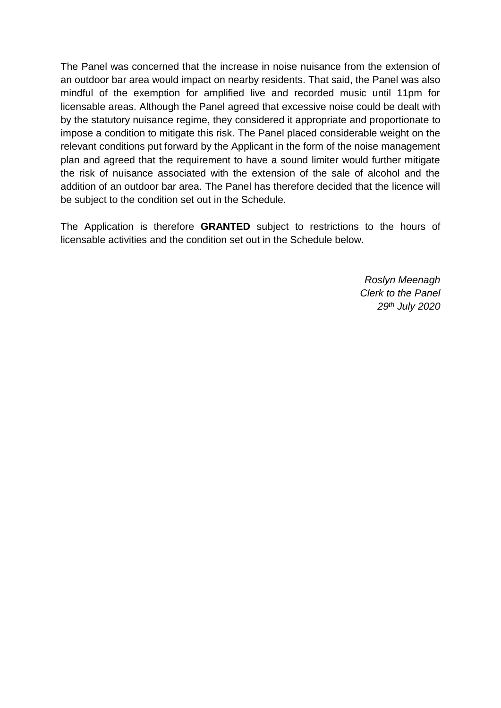The Panel was concerned that the increase in noise nuisance from the extension of an outdoor bar area would impact on nearby residents. That said, the Panel was also mindful of the exemption for amplified live and recorded music until 11pm for licensable areas. Although the Panel agreed that excessive noise could be dealt with by the statutory nuisance regime, they considered it appropriate and proportionate to impose a condition to mitigate this risk. The Panel placed considerable weight on the relevant conditions put forward by the Applicant in the form of the noise management plan and agreed that the requirement to have a sound limiter would further mitigate the risk of nuisance associated with the extension of the sale of alcohol and the addition of an outdoor bar area. The Panel has therefore decided that the licence will be subject to the condition set out in the Schedule.

The Application is therefore **GRANTED** subject to restrictions to the hours of licensable activities and the condition set out in the Schedule below.

> *Roslyn Meenagh Clerk to the Panel 29th July 2020*